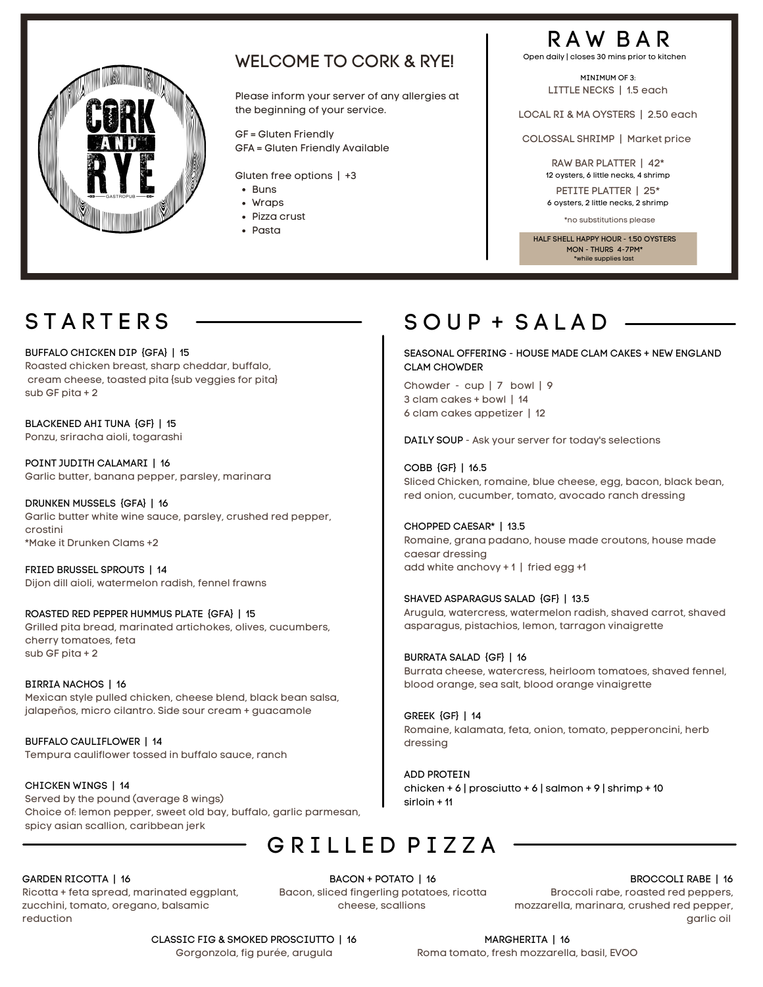

#### WELCOME TO CORK & RYE!

Please inform your server of any allergies at the beginning of your service.

GF = Gluten Friendly GFA = Gluten Friendly Available

Gluten free options | +3

- Buns
- Wraps
- Pizza crust
- Pasta

### R A W B A R

Open daily | closes 30 mins prior to kitchen

MINIMUM OF 3. LITTLE NECKS | 1.5 each

LOCAL RI & MA OYSTERS | 2.50 each

COLOSSAL SHRIMP | Market price

RAW BAR PLATTER | 42\* 12 oysters, 6 little necks, 4 shrimp

PETITE PLATTER | 25\* 6 oysters, 2 little necks, 2 shrimp

\*no substitutions please

HALF SHELL HAPPY HOUR - 150 OYSTERS MON - THURS 4-7PM\* \*while supplies last

BUFFALO CHICKEN DIP {GFA} | 15 Roasted chicken breast, sharp cheddar, buffalo, cream cheese, toasted pita {sub veggies for pita} sub GF pita + 2

BLACKENED AHI TUNA {GF} | 15 Ponzu, sriracha aioli, togarashi

POINT JUDITH CALAMARI | 16 Garlic butter, banana pepper, parsley, marinara

DRUNKEN MUSSELS {GFA} | 16 Garlic butter white wine sauce, parsley, crushed red pepper, crostini \*Make it Drunken Clams +2

FRIED BRUSSEL SPROUTS | 14 Dijon dill aioli, watermelon radish, fennel frawns

ROASTED RED PEPPER HUMMUS PLATE {GFA} | 15 Grilled pita bread, marinated artichokes, olives, cucumbers, cherry tomatoes, feta sub GF pita + 2

BIRRIA NACHOS | 16 Mexican style pulled chicken, cheese blend, black bean salsa, jalapeños, micro cilantro. Side sour cream + guacamole

BUFFALO CAULIFLOWER | 14 Tempura cauliflower tossed in buffalo sauce, ranch

CHICKEN WINGS | 14 Served by the pound (average 8 wings) Choice of: lemon pepper, sweet old bay, buffalo, garlic parmesan, spicy asian scallion, caribbean jerk

### $STARTERS$   $\longrightarrow$   $S O UP + S A L A D$

SEASONAL OFFERING - HOUSE MADE CLAM CAKES + NEW ENGLAND CLAM CHOWDER

Chowder - cup | 7 bowl | 9 3 clam cakes + bowl | 14 6 clam cakes appetizer | 12

DAILY SOUP - Ask your server for today's selections

COBB {GF} | 16.5 Sliced Chicken, romaine, blue cheese, egg, bacon, black bean, red onion, cucumber, tomato, avocado ranch dressing

CHOPPED CAESAR\* | 13.5 Romaine, grana padano, house made croutons, house made caesar dressing add white anchovy + 1 | fried egg +1

SHAVED ASPARAGUS SALAD {GF} | 13.5 Arugula, watercress, watermelon radish, shaved carrot, shaved asparagus, pistachios, lemon, tarragon vinaigrette

BURRATA SALAD {GF} | 16 Burrata cheese, watercress, heirloom tomatoes, shaved fennel, blood orange, sea salt, blood orange vinaigrette

GREEK {GF} | 14 Romaine, kalamata, feta, onion, tomato, pepperoncini, herb dressing

ADD PROTEIN chicken + 6 | prosciutto + 6 | salmon + 9 | shrimp + 10 sirloin + 11

#### G R I L L E D P I Z Z A

#### GARDEN RICOTTA | 16

Ricotta + feta spread, marinated eggplant, zucchini, tomato, oregano, balsamic reduction

BACON + POTATO | 16 Bacon, sliced fingerling potatoes, ricotta cheese, scallions

BROCCOLI RABE | 16 Broccoli rabe, roasted red peppers, mozzarella, marinara, crushed red pepper, garlic oil

CLASSIC FIG & SMOKED PROSCIUTTO | 16 Gorgonzola, fig purée, arugula

MARGHERITA | 16 Roma tomato, fresh mozzarella, basil, EVOO